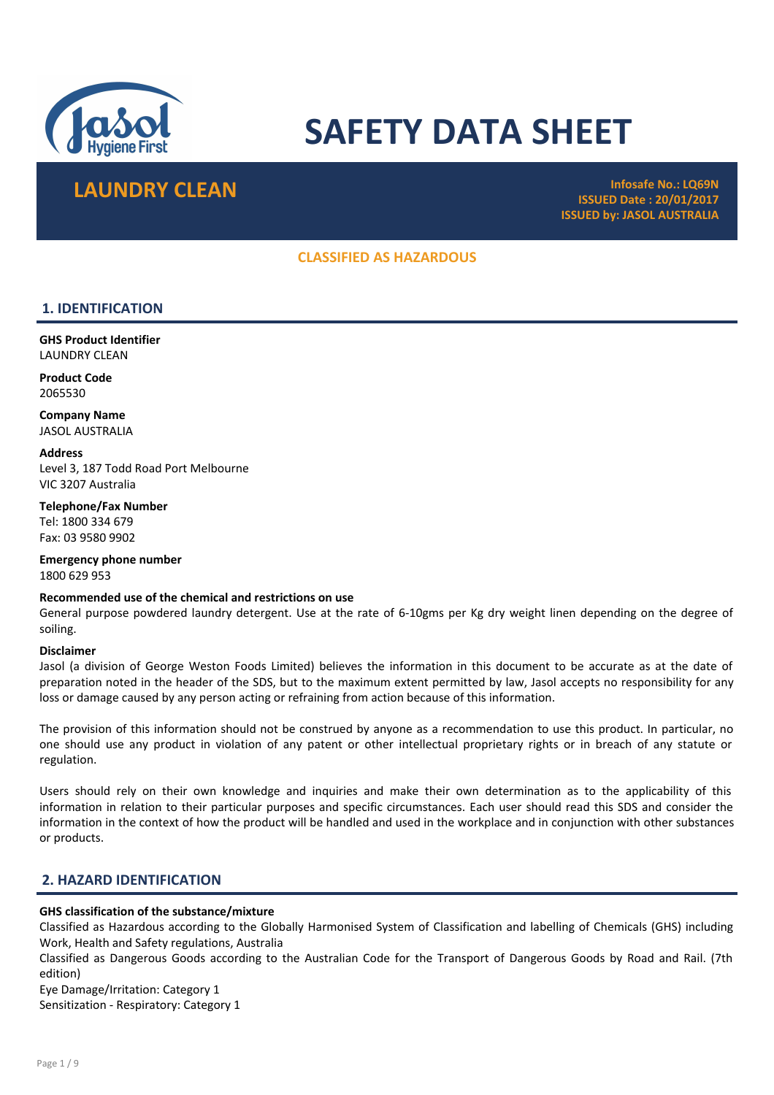

# SAFETY DATA SHEET

## **LAUNDRY CLEAN Infosafe No.: LQ69N**

ISSUED Date : 20/01/2017 ISSUED by: JASOL AUSTRALIA

## CLASSIFIED AS HAZARDOUS

## 1. IDENTIFICATION

GHS Product Identifier LAUNDRY CLEAN

Product Code 2065530

Company Name JASOL AUSTRALIA

**Address** Level 3, 187 Todd Road Port Melbourne VIC 3207 Australia

Telephone/Fax Number Tel: 1800 334 679 Fax: 03 9580 9902

Emergency phone number 1800 629 953

#### Recommended use of the chemical and restrictions on use

General purpose powdered laundry detergent. Use at the rate of 6-10gms per Kg dry weight linen depending on the degree of soiling.

#### Disclaimer

Jasol (a division of George Weston Foods Limited) believes the information in this document to be accurate as at the date of preparation noted in the header of the SDS, but to the maximum extent permitted by law, Jasol accepts no responsibility for any loss or damage caused by any person acting or refraining from action because of this information.

The provision of this information should not be construed by anyone as a recommendation to use this product. In particular, no one should use any product in violation of any patent or other intellectual proprietary rights or in breach of any statute or regulation.

Users should rely on their own knowledge and inquiries and make their own determination as to the applicability of this information in relation to their particular purposes and specific circumstances. Each user should read this SDS and consider the information in the context of how the product will be handled and used in the workplace and in conjunction with other substances or products.

## 2. HAZARD IDENTIFICATION

#### GHS classification of the substance/mixture

Classified as Hazardous according to the Globally Harmonised System of Classification and labelling of Chemicals (GHS) including Work, Health and Safety regulations, Australia

Classified as Dangerous Goods according to the Australian Code for the Transport of Dangerous Goods by Road and Rail. (7th edition)

Eye Damage/Irritation: Category 1

Sensitization - Respiratory: Category 1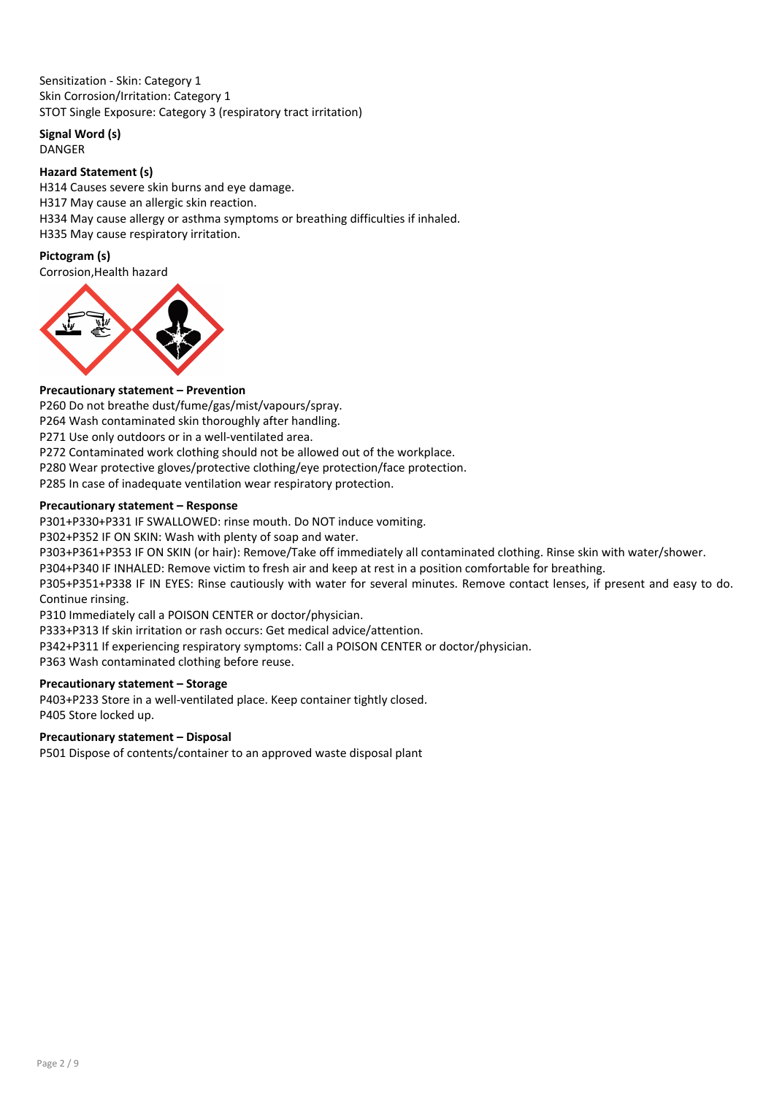Sensitization - Skin: Category 1 Skin Corrosion/Irritation: Category 1 STOT Single Exposure: Category 3 (respiratory tract irritation)

Signal Word (s)

DANGER

## Hazard Statement (s)

H314 Causes severe skin burns and eye damage. H317 May cause an allergic skin reaction. H334 May cause allergy or asthma symptoms or breathing difficulties if inhaled. H335 May cause respiratory irritation.

## Pictogram (s)

Corrosion,Health hazard



## Precautionary statement – Prevention

P260 Do not breathe dust/fume/gas/mist/vapours/spray.

P264 Wash contaminated skin thoroughly after handling.

P271 Use only outdoors or in a well-ventilated area.

P272 Contaminated work clothing should not be allowed out of the workplace.

P280 Wear protective gloves/protective clothing/eye protection/face protection.

P285 In case of inadequate ventilation wear respiratory protection.

## Precautionary statement – Response

P301+P330+P331 IF SWALLOWED: rinse mouth. Do NOT induce vomiting.

P302+P352 IF ON SKIN: Wash with plenty of soap and water.

P303+P361+P353 IF ON SKIN (or hair): Remove/Take off immediately all contaminated clothing. Rinse skin with water/shower.

P304+P340 IF INHALED: Remove victim to fresh air and keep at rest in a position comfortable for breathing.

P305+P351+P338 IF IN EYES: Rinse cautiously with water for several minutes. Remove contact lenses, if present and easy to do. Continue rinsing.

P310 Immediately call a POISON CENTER or doctor/physician.

P333+P313 If skin irritation or rash occurs: Get medical advice/attention.

P342+P311 If experiencing respiratory symptoms: Call a POISON CENTER or doctor/physician.

P363 Wash contaminated clothing before reuse.

## Precautionary statement – Storage

P403+P233 Store in a well-ventilated place. Keep container tightly closed. P405 Store locked up.

## Precautionary statement – Disposal

P501 Dispose of contents/container to an approved waste disposal plant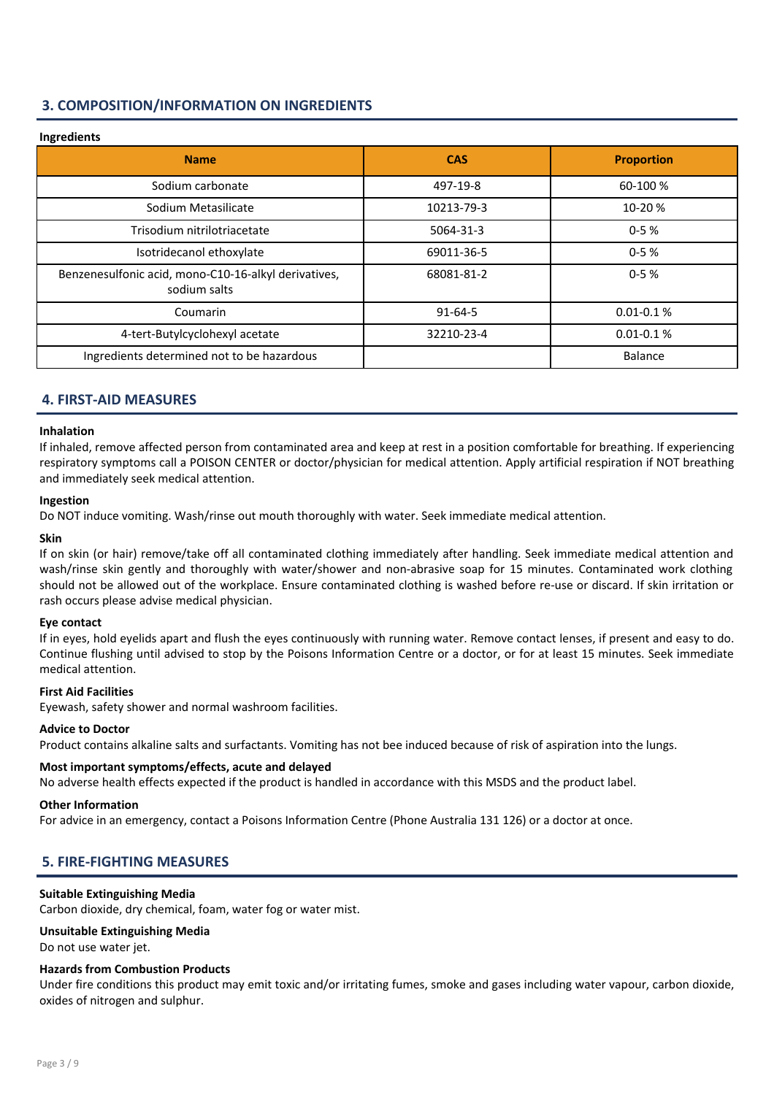## 3. COMPOSITION/INFORMATION ON INGREDIENTS

## Ingredients Name and the case of the case of the case of the case of the case of the case of the case of the case of the c Sodium carbonate **1992-19-8 1992-19-8** 60-100 % Sodium Metasilicate 10213-79-3 10-20 % Trisodium nitrilotriacetate 5064-31-3 0-5 % Isotridecanol ethoxylate 69011-36-5 0-5 % Benzenesulfonic acid, mono-C10-16-alkyl derivatives, sodium salts 68081-81-2 0-5 % Coumarin 2011 0.01-0.1 % 0.01-0.1 % 91-64-5 4-tert-Butylcyclohexyl acetate 32210-23-4 0.01-0.1 % Ingredients determined not to be hazardous Balance Balance Balance

## 4. FIRST-AID MEASURES

#### Inhalation

If inhaled, remove affected person from contaminated area and keep at rest in a position comfortable for breathing. If experiencing respiratory symptoms call a POISON CENTER or doctor/physician for medical attention. Apply artificial respiration if NOT breathing and immediately seek medical attention.

#### Ingestion

Do NOT induce vomiting. Wash/rinse out mouth thoroughly with water. Seek immediate medical attention.

#### Skin

If on skin (or hair) remove/take off all contaminated clothing immediately after handling. Seek immediate medical attention and wash/rinse skin gently and thoroughly with water/shower and non-abrasive soap for 15 minutes. Contaminated work clothing should not be allowed out of the workplace. Ensure contaminated clothing is washed before re-use or discard. If skin irritation or rash occurs please advise medical physician.

#### Eye contact

If in eyes, hold eyelids apart and flush the eyes continuously with running water. Remove contact lenses, if present and easy to do. Continue flushing until advised to stop by the Poisons Information Centre or a doctor, or for at least 15 minutes. Seek immediate medical attention.

#### First Aid Facilities

Eyewash, safety shower and normal washroom facilities.

#### Advice to Doctor

Product contains alkaline salts and surfactants. Vomiting has not bee induced because of risk of aspiration into the lungs.

#### Most important symptoms/effects, acute and delayed

No adverse health effects expected if the product is handled in accordance with this MSDS and the product label.

#### Other Information

For advice in an emergency, contact a Poisons Information Centre (Phone Australia 131 126) or a doctor at once.

## 5. FIRE-FIGHTING MEASURES

#### Suitable Extinguishing Media

Carbon dioxide, dry chemical, foam, water fog or water mist.

## Unsuitable Extinguishing Media

Do not use water jet.

#### Hazards from Combustion Products

Under fire conditions this product may emit toxic and/or irritating fumes, smoke and gases including water vapour, carbon dioxide, oxides of nitrogen and sulphur.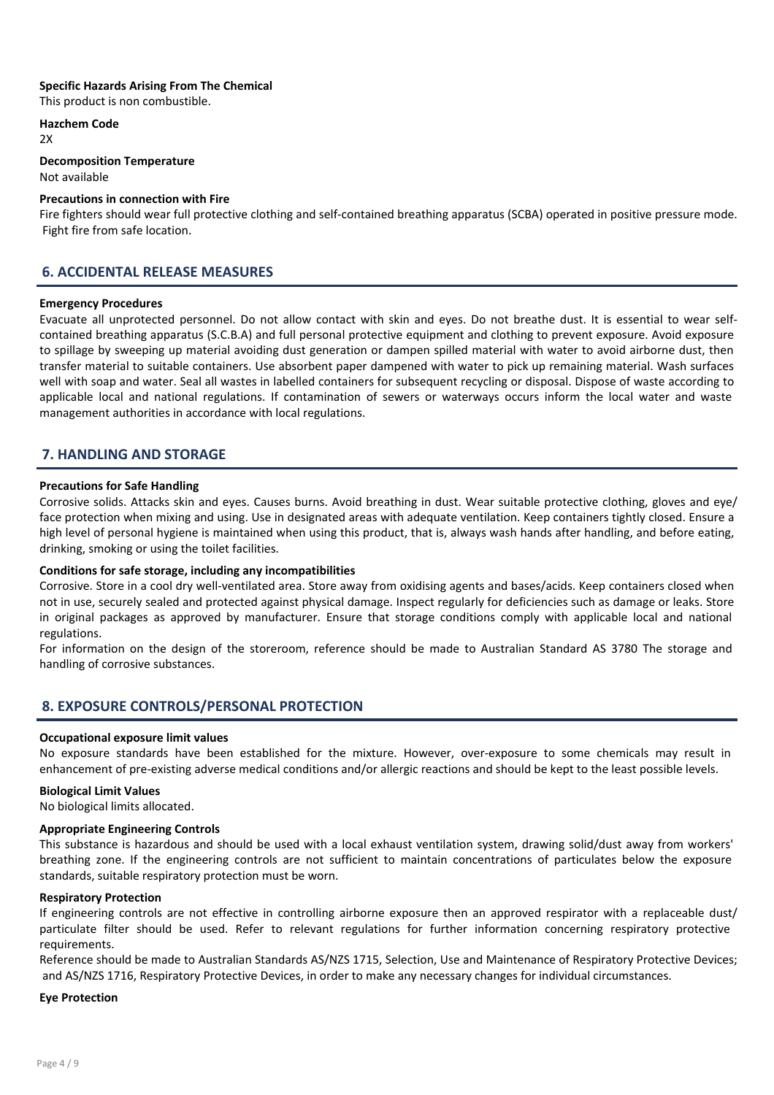#### Specific Hazards Arising From The Chemical

This product is non combustible.

Hazchem Code

 $2x$ 

## Decomposition Temperature

Not available

## Precautions in connection with Fire

Fire fighters should wear full protective clothing and self-contained breathing apparatus (SCBA) operated in positive pressure mode. Fight fire from safe location.

## 6. ACCIDENTAL RELEASE MEASURES

#### Emergency Procedures

Evacuate all unprotected personnel. Do not allow contact with skin and eyes. Do not breathe dust. It is essential to wear selfcontained breathing apparatus (S.C.B.A) and full personal protective equipment and clothing to prevent exposure. Avoid exposure to spillage by sweeping up material avoiding dust generation or dampen spilled material with water to avoid airborne dust, then transfer material to suitable containers. Use absorbent paper dampened with water to pick up remaining material. Wash surfaces well with soap and water. Seal all wastes in labelled containers for subsequent recycling or disposal. Dispose of waste according to applicable local and national regulations. If contamination of sewers or waterways occurs inform the local water and waste management authorities in accordance with local regulations.

## 7. HANDLING AND STORAGE

#### Precautions for Safe Handling

Corrosive solids. Attacks skin and eyes. Causes burns. Avoid breathing in dust. Wear suitable protective clothing, gloves and eye/ face protection when mixing and using. Use in designated areas with adequate ventilation. Keep containers tightly closed. Ensure a high level of personal hygiene is maintained when using this product, that is, always wash hands after handling, and before eating, drinking, smoking or using the toilet facilities.

#### Conditions for safe storage, including any incompatibilities

Corrosive. Store in a cool dry well-ventilated area. Store away from oxidising agents and bases/acids. Keep containers closed when not in use, securely sealed and protected against physical damage. Inspect regularly for deficiencies such as damage or leaks. Store in original packages as approved by manufacturer. Ensure that storage conditions comply with applicable local and national regulations.

For information on the design of the storeroom, reference should be made to Australian Standard AS 3780 The storage and handling of corrosive substances.

## 8. EXPOSURE CONTROLS/PERSONAL PROTECTION

#### Occupational exposure limit values

No exposure standards have been established for the mixture. However, over-exposure to some chemicals may result in enhancement of pre-existing adverse medical conditions and/or allergic reactions and should be kept to the least possible levels.

#### Biological Limit Values

No biological limits allocated.

#### Appropriate Engineering Controls

This substance is hazardous and should be used with a local exhaust ventilation system, drawing solid/dust away from workers' breathing zone. If the engineering controls are not sufficient to maintain concentrations of particulates below the exposure standards, suitable respiratory protection must be worn.

#### Respiratory Protection

If engineering controls are not effective in controlling airborne exposure then an approved respirator with a replaceable dust/ particulate filter should be used. Refer to relevant regulations for further information concerning respiratory protective requirements.

Reference should be made to Australian Standards AS/NZS 1715, Selection, Use and Maintenance of Respiratory Protective Devices; and AS/NZS 1716, Respiratory Protective Devices, in order to make any necessary changes for individual circumstances.

#### Eye Protection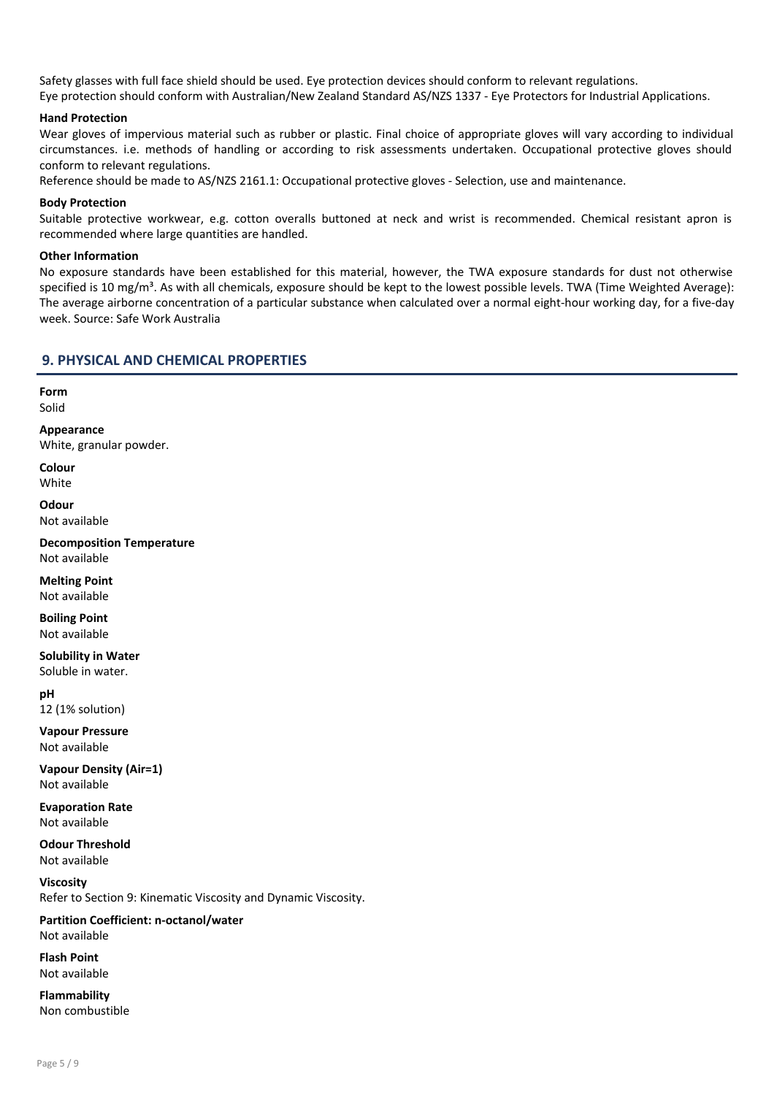Safety glasses with full face shield should be used. Eye protection devices should conform to relevant regulations. Eye protection should conform with Australian/New Zealand Standard AS/NZS 1337 - Eye Protectors for Industrial Applications.

#### Hand Protection

Wear gloves of impervious material such as rubber or plastic. Final choice of appropriate gloves will vary according to individual circumstances. i.e. methods of handling or according to risk assessments undertaken. Occupational protective gloves should conform to relevant regulations.

Reference should be made to AS/NZS 2161.1: Occupational protective gloves - Selection, use and maintenance.

#### Body Protection

Suitable protective workwear, e.g. cotton overalls buttoned at neck and wrist is recommended. Chemical resistant apron is recommended where large quantities are handled.

#### Other Information

No exposure standards have been established for this material, however, the TWA exposure standards for dust not otherwise specified is 10 mg/m<sup>3</sup>. As with all chemicals, exposure should be kept to the lowest possible levels. TWA (Time Weighted Average): The average airborne concentration of a particular substance when calculated over a normal eight-hour working day, for a five-day week. Source: Safe Work Australia

## 9. PHYSICAL AND CHEMICAL PROPERTIES

Form Solid

Appearance White, granular powder.

Colour **White** 

**Odour** Not available

Decomposition Temperature Not available

Melting Point Not available

Boiling Point Not available

Solubility in Water Soluble in water.

pH 12 (1% solution)

Vapour Pressure Not available

Vapour Density (Air=1) Not available

Evaporation Rate Not available

Odour Threshold Not available

Viscosity Refer to Section 9: Kinematic Viscosity and Dynamic Viscosity.

Partition Coefficient: n-octanol/water Not available

Flash Point Not available

Flammability Non combustible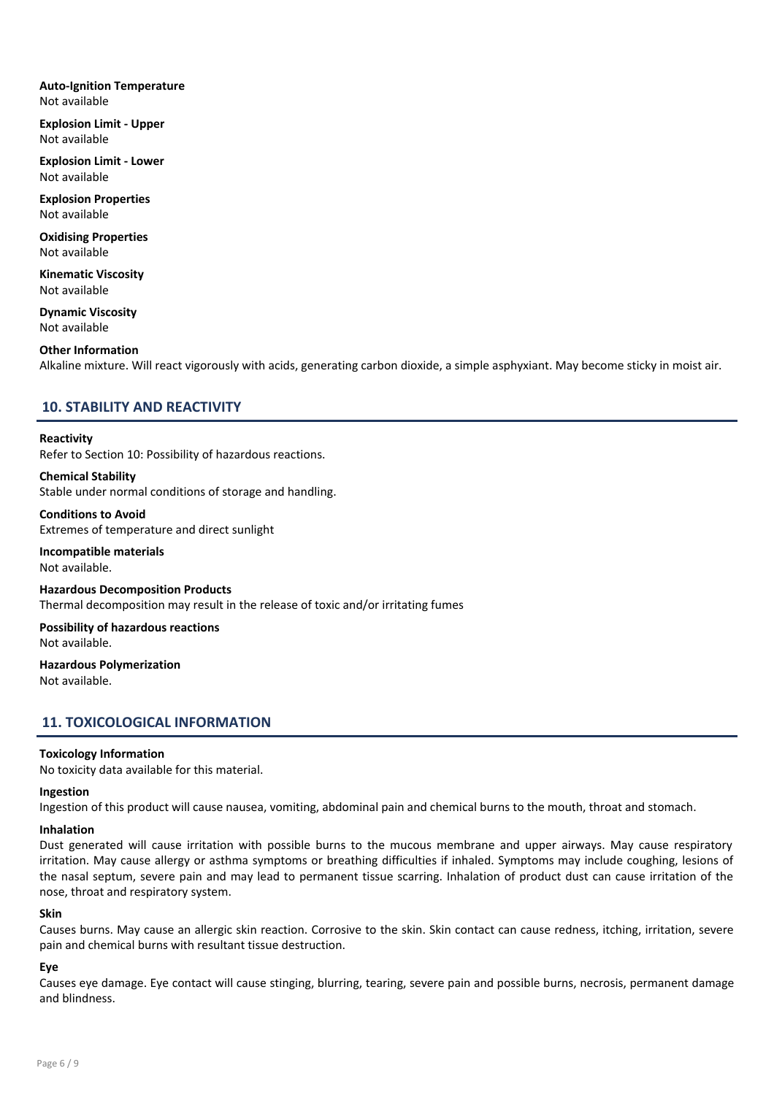#### Auto-Ignition Temperature Not available

Explosion Limit - Upper Not available

Explosion Limit - Lower Not available

Explosion Properties Not available

Oxidising Properties Not available

Kinematic Viscosity Not available

Dynamic Viscosity Not available

#### Other Information

Alkaline mixture. Will react vigorously with acids, generating carbon dioxide, a simple asphyxiant. May become sticky in moist air.

## 10. STABILITY AND REACTIVITY

#### Reactivity

Refer to Section 10: Possibility of hazardous reactions.

#### Chemical Stability

Stable under normal conditions of storage and handling.

Conditions to Avoid Extremes of temperature and direct sunlight

Incompatible materials Not available.

Hazardous Decomposition Products Thermal decomposition may result in the release of toxic and/or irritating fumes

Possibility of hazardous reactions Not available.

Hazardous Polymerization Not available.

## 11. TOXICOLOGICAL INFORMATION

#### Toxicology Information

No toxicity data available for this material.

#### Ingestion

Ingestion of this product will cause nausea, vomiting, abdominal pain and chemical burns to the mouth, throat and stomach.

#### Inhalation

Dust generated will cause irritation with possible burns to the mucous membrane and upper airways. May cause respiratory irritation. May cause allergy or asthma symptoms or breathing difficulties if inhaled. Symptoms may include coughing, lesions of the nasal septum, severe pain and may lead to permanent tissue scarring. Inhalation of product dust can cause irritation of the nose, throat and respiratory system.

#### Skin

Causes burns. May cause an allergic skin reaction. Corrosive to the skin. Skin contact can cause redness, itching, irritation, severe pain and chemical burns with resultant tissue destruction.

#### Eye

Causes eye damage. Eye contact will cause stinging, blurring, tearing, severe pain and possible burns, necrosis, permanent damage and blindness.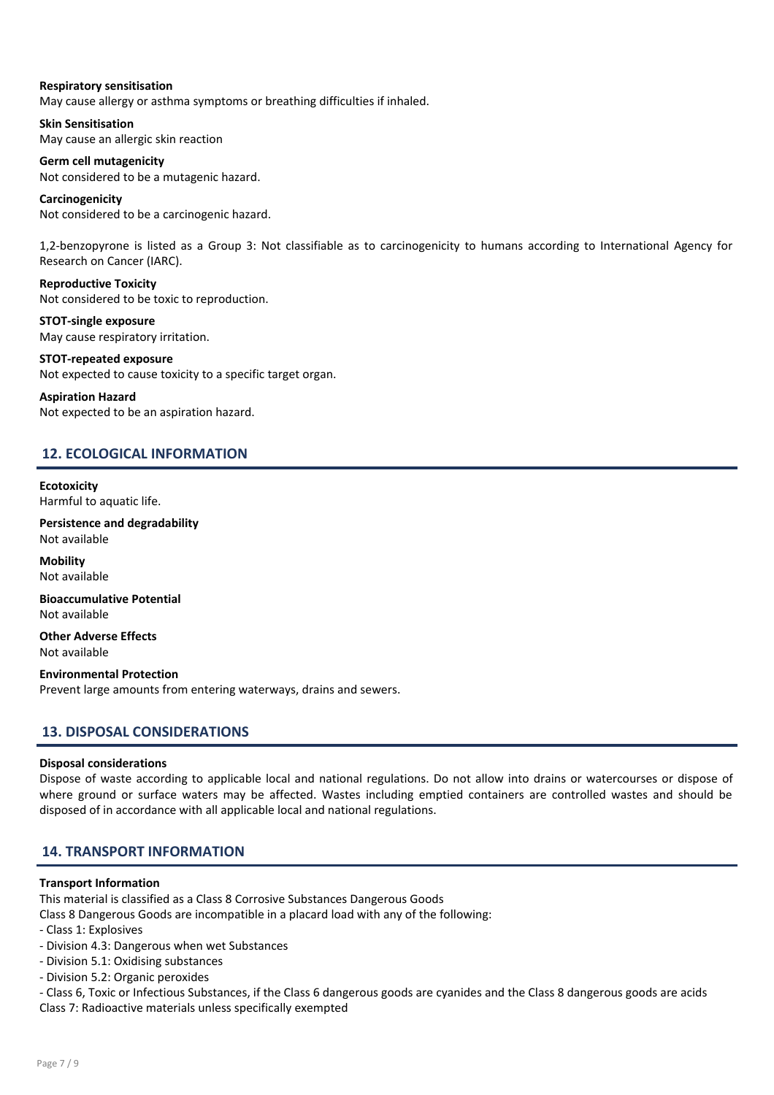#### Respiratory sensitisation

May cause allergy or asthma symptoms or breathing difficulties if inhaled.

Skin Sensitisation May cause an allergic skin reaction

Germ cell mutagenicity Not considered to be a mutagenic hazard.

Carcinogenicity Not considered to be a carcinogenic hazard.

1,2-benzopyrone is listed as a Group 3: Not classifiable as to carcinogenicity to humans according to International Agency for Research on Cancer (IARC).

Reproductive Toxicity Not considered to be toxic to reproduction.

STOT-single exposure May cause respiratory irritation.

STOT-repeated exposure Not expected to cause toxicity to a specific target organ.

#### Aspiration Hazard

Not expected to be an aspiration hazard.

## 12. ECOLOGICAL INFORMATION

**Ecotoxicity** Harmful to aquatic life.

Persistence and degradability Not available

**Mobility** Not available

Bioaccumulative Potential Not available

Other Adverse Effects Not available

Environmental Protection Prevent large amounts from entering waterways, drains and sewers.

## 13. DISPOSAL CONSIDERATIONS

#### Disposal considerations

Dispose of waste according to applicable local and national regulations. Do not allow into drains or watercourses or dispose of where ground or surface waters may be affected. Wastes including emptied containers are controlled wastes and should be disposed of in accordance with all applicable local and national regulations.

## 14. TRANSPORT INFORMATION

#### Transport Information

This material is classified as a Class 8 Corrosive Substances Dangerous Goods

- Class 8 Dangerous Goods are incompatible in a placard load with any of the following:
- Class 1: Explosives
- Division 4.3: Dangerous when wet Substances
- Division 5.1: Oxidising substances
- Division 5.2: Organic peroxides

- Class 6, Toxic or Infectious Substances, if the Class 6 dangerous goods are cyanides and the Class 8 dangerous goods are acids Class 7: Radioactive materials unless specifically exempted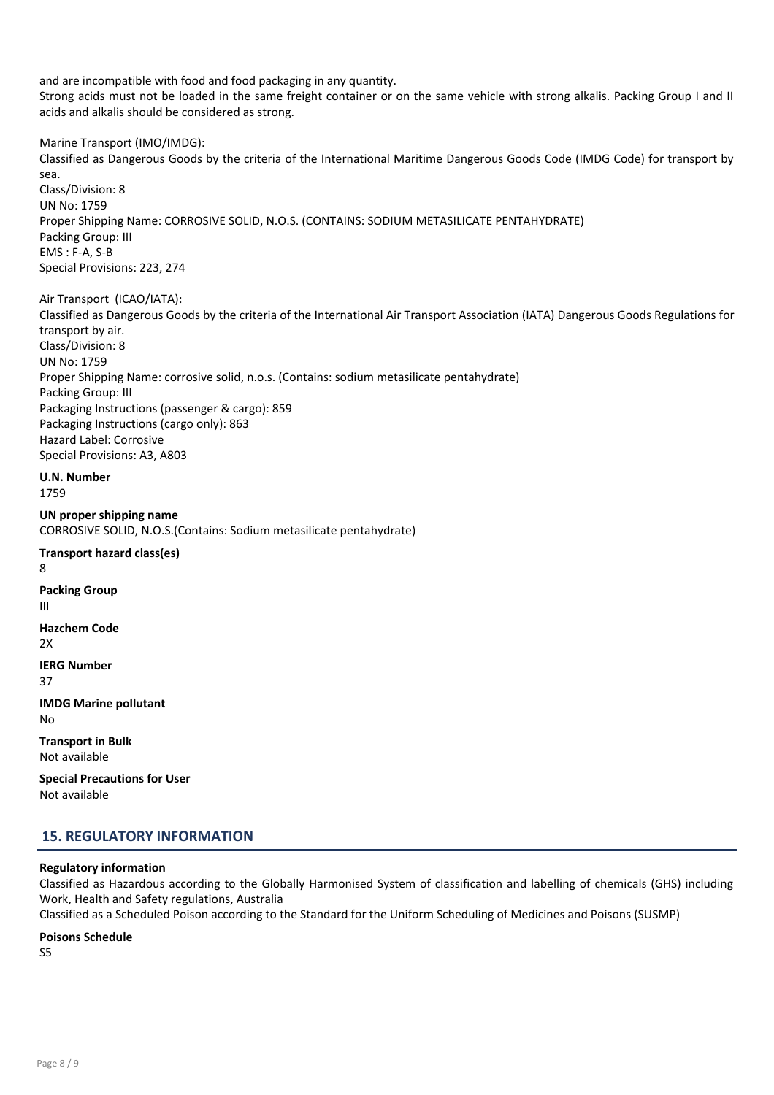and are incompatible with food and food packaging in any quantity.

Strong acids must not be loaded in the same freight container or on the same vehicle with strong alkalis. Packing Group I and II acids and alkalis should be considered as strong.

Marine Transport (IMO/IMDG):

Classified as Dangerous Goods by the criteria of the International Maritime Dangerous Goods Code (IMDG Code) for transport by sea.

Class/Division: 8 UN No: 1759 Proper Shipping Name: CORROSIVE SOLID, N.O.S. (CONTAINS: SODIUM METASILICATE PENTAHYDRATE) Packing Group: III EMS : F-A, S-B Special Provisions: 223, 274

Air Transport (ICAO/IATA): Classified as Dangerous Goods by the criteria of the International Air Transport Association (IATA) Dangerous Goods Regulations for transport by air. Class/Division: 8 UN No: 1759 Proper Shipping Name: corrosive solid, n.o.s. (Contains: sodium metasilicate pentahydrate) Packing Group: III Packaging Instructions (passenger & cargo): 859 Packaging Instructions (cargo only): 863 Hazard Label: Corrosive Special Provisions: A3, A803

U.N. Number

1759

UN proper shipping name CORROSIVE SOLID, N.O.S.(Contains: Sodium metasilicate pentahydrate)

Transport hazard class(es) 8 Packing Group

III

Hazchem Code 2X

IERG Number

37

IMDG Marine pollutant No

Transport in Bulk Not available

Special Precautions for User Not available

## 15. REGULATORY INFORMATION

#### Regulatory information

Classified as Hazardous according to the Globally Harmonised System of classification and labelling of chemicals (GHS) including Work, Health and Safety regulations, Australia

Classified as a Scheduled Poison according to the Standard for the Uniform Scheduling of Medicines and Poisons (SUSMP)

## Poisons Schedule

S5